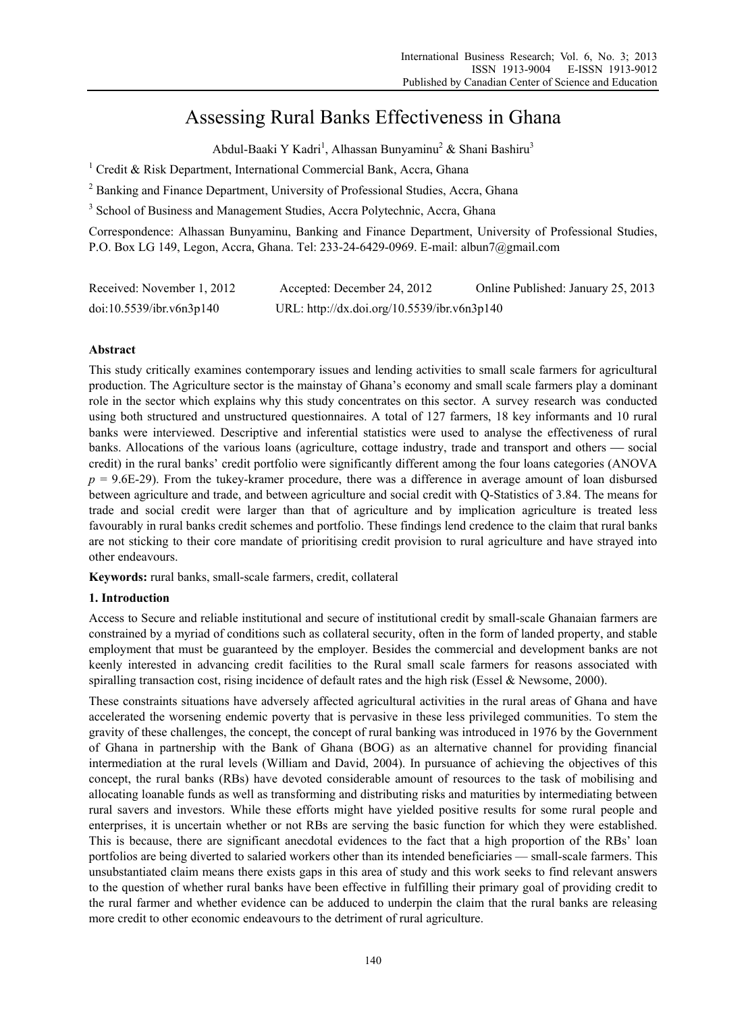# Assessing Rural Banks Effectiveness in Ghana

Abdul-Baaki Y Kadri<sup>1</sup>, Alhassan Bunyaminu<sup>2</sup> & Shani Bashiru<sup>3</sup>

<sup>1</sup> Credit & Risk Department, International Commercial Bank, Accra, Ghana

<sup>2</sup> Banking and Finance Department, University of Professional Studies, Accra, Ghana

<sup>3</sup> School of Business and Management Studies, Accra Polytechnic, Accra, Ghana

Correspondence: Alhassan Bunyaminu, Banking and Finance Department, University of Professional Studies, P.O. Box LG 149, Legon, Accra, Ghana. Tel: 233-24-6429-0969. E-mail: albun7@gmail.com

| Received: November 1, 2012 | Accepted: December 24, 2012                 | Online Published: January 25, 2013 |
|----------------------------|---------------------------------------------|------------------------------------|
| doi:10.5539/ibr.v6n3p140   | URL: http://dx.doi.org/10.5539/ibr.v6n3p140 |                                    |

# **Abstract**

This study critically examines contemporary issues and lending activities to small scale farmers for agricultural production. The Agriculture sector is the mainstay of Ghana's economy and small scale farmers play a dominant role in the sector which explains why this study concentrates on this sector. A survey research was conducted using both structured and unstructured questionnaires. A total of 127 farmers, 18 key informants and 10 rural banks were interviewed. Descriptive and inferential statistics were used to analyse the effectiveness of rural banks. Allocations of the various loans (agriculture, cottage industry, trade and transport and others — social credit) in the rural banks' credit portfolio were significantly different among the four loans categories (ANOVA  $p = 9.6E-29$ ). From the tukey-kramer procedure, there was a difference in average amount of loan disbursed between agriculture and trade, and between agriculture and social credit with Q-Statistics of 3.84. The means for trade and social credit were larger than that of agriculture and by implication agriculture is treated less favourably in rural banks credit schemes and portfolio. These findings lend credence to the claim that rural banks are not sticking to their core mandate of prioritising credit provision to rural agriculture and have strayed into other endeavours.

**Keywords:** rural banks, small-scale farmers, credit, collateral

# **1. Introduction**

Access to Secure and reliable institutional and secure of institutional credit by small-scale Ghanaian farmers are constrained by a myriad of conditions such as collateral security, often in the form of landed property, and stable employment that must be guaranteed by the employer. Besides the commercial and development banks are not keenly interested in advancing credit facilities to the Rural small scale farmers for reasons associated with spiralling transaction cost, rising incidence of default rates and the high risk (Essel & Newsome, 2000).

These constraints situations have adversely affected agricultural activities in the rural areas of Ghana and have accelerated the worsening endemic poverty that is pervasive in these less privileged communities. To stem the gravity of these challenges, the concept, the concept of rural banking was introduced in 1976 by the Government of Ghana in partnership with the Bank of Ghana (BOG) as an alternative channel for providing financial intermediation at the rural levels (William and David, 2004). In pursuance of achieving the objectives of this concept, the rural banks (RBs) have devoted considerable amount of resources to the task of mobilising and allocating loanable funds as well as transforming and distributing risks and maturities by intermediating between rural savers and investors. While these efforts might have yielded positive results for some rural people and enterprises, it is uncertain whether or not RBs are serving the basic function for which they were established. This is because, there are significant anecdotal evidences to the fact that a high proportion of the RBs' loan portfolios are being diverted to salaried workers other than its intended beneficiaries — small-scale farmers. This unsubstantiated claim means there exists gaps in this area of study and this work seeks to find relevant answers to the question of whether rural banks have been effective in fulfilling their primary goal of providing credit to the rural farmer and whether evidence can be adduced to underpin the claim that the rural banks are releasing more credit to other economic endeavours to the detriment of rural agriculture.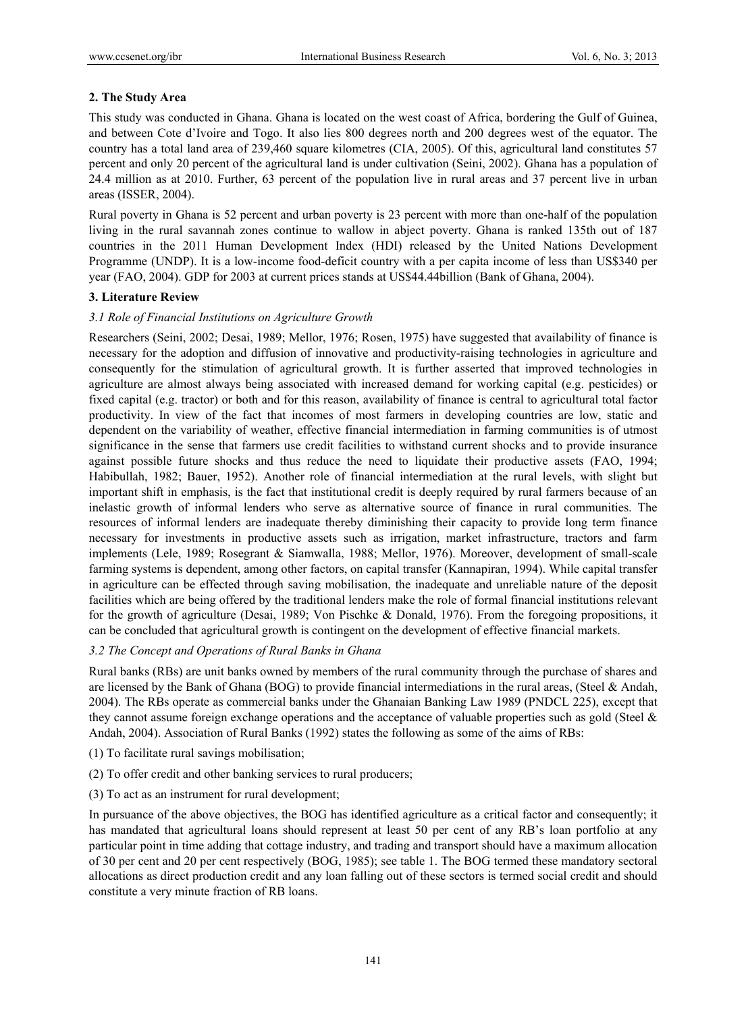# **2. The Study Area**

This study was conducted in Ghana. Ghana is located on the west coast of Africa, bordering the Gulf of Guinea, and between Cote d'Ivoire and Togo. It also lies 800 degrees north and 200 degrees west of the equator. The country has a total land area of 239,460 square kilometres (CIA, 2005). Of this, agricultural land constitutes 57 percent and only 20 percent of the agricultural land is under cultivation (Seini, 2002). Ghana has a population of 24.4 million as at 2010. Further, 63 percent of the population live in rural areas and 37 percent live in urban areas (ISSER, 2004).

Rural poverty in Ghana is 52 percent and urban poverty is 23 percent with more than one-half of the population living in the rural savannah zones continue to wallow in abject poverty. Ghana is ranked 135th out of 187 countries in the 2011 Human Development Index (HDI) released by the United Nations Development Programme (UNDP). It is a low-income food-deficit country with a per capita income of less than US\$340 per year (FAO, 2004). GDP for 2003 at current prices stands at US\$44.44billion (Bank of Ghana, 2004).

# **3. Literature Review**

# *3.1 Role of Financial Institutions on Agriculture Growth*

Researchers (Seini, 2002; Desai, 1989; Mellor, 1976; Rosen, 1975) have suggested that availability of finance is necessary for the adoption and diffusion of innovative and productivity-raising technologies in agriculture and consequently for the stimulation of agricultural growth. It is further asserted that improved technologies in agriculture are almost always being associated with increased demand for working capital (e.g. pesticides) or fixed capital (e.g. tractor) or both and for this reason, availability of finance is central to agricultural total factor productivity. In view of the fact that incomes of most farmers in developing countries are low, static and dependent on the variability of weather, effective financial intermediation in farming communities is of utmost significance in the sense that farmers use credit facilities to withstand current shocks and to provide insurance against possible future shocks and thus reduce the need to liquidate their productive assets (FAO, 1994; Habibullah, 1982; Bauer, 1952). Another role of financial intermediation at the rural levels, with slight but important shift in emphasis, is the fact that institutional credit is deeply required by rural farmers because of an inelastic growth of informal lenders who serve as alternative source of finance in rural communities. The resources of informal lenders are inadequate thereby diminishing their capacity to provide long term finance necessary for investments in productive assets such as irrigation, market infrastructure, tractors and farm implements (Lele, 1989; Rosegrant & Siamwalla, 1988; Mellor, 1976). Moreover, development of small-scale farming systems is dependent, among other factors, on capital transfer (Kannapiran, 1994). While capital transfer in agriculture can be effected through saving mobilisation, the inadequate and unreliable nature of the deposit facilities which are being offered by the traditional lenders make the role of formal financial institutions relevant for the growth of agriculture (Desai, 1989; Von Pischke & Donald, 1976). From the foregoing propositions, it can be concluded that agricultural growth is contingent on the development of effective financial markets.

# *3.2 The Concept and Operations of Rural Banks in Ghana*

Rural banks (RBs) are unit banks owned by members of the rural community through the purchase of shares and are licensed by the Bank of Ghana (BOG) to provide financial intermediations in the rural areas, (Steel & Andah, 2004). The RBs operate as commercial banks under the Ghanaian Banking Law 1989 (PNDCL 225), except that they cannot assume foreign exchange operations and the acceptance of valuable properties such as gold (Steel & Andah, 2004). Association of Rural Banks (1992) states the following as some of the aims of RBs:

- (1) To facilitate rural savings mobilisation;
- (2) To offer credit and other banking services to rural producers;
- (3) To act as an instrument for rural development;

In pursuance of the above objectives, the BOG has identified agriculture as a critical factor and consequently; it has mandated that agricultural loans should represent at least 50 per cent of any RB's loan portfolio at any particular point in time adding that cottage industry, and trading and transport should have a maximum allocation of 30 per cent and 20 per cent respectively (BOG, 1985); see table 1. The BOG termed these mandatory sectoral allocations as direct production credit and any loan falling out of these sectors is termed social credit and should constitute a very minute fraction of RB loans.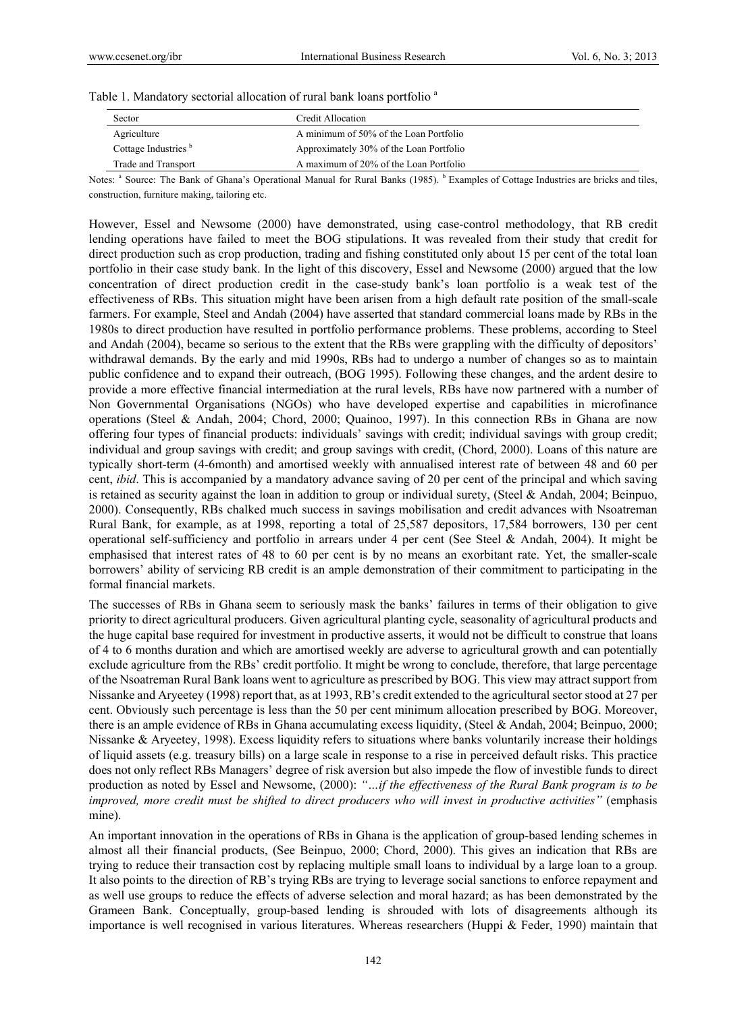| Table 1. Mandatory sectorial allocation of rural bank loans portfolio <sup>a</sup> |  |  |  |
|------------------------------------------------------------------------------------|--|--|--|
|                                                                                    |  |  |  |

| Sector                          | Credit Allocation                       |  |
|---------------------------------|-----------------------------------------|--|
| Agriculture                     | A minimum of 50% of the Loan Portfolio  |  |
| Cottage Industries <sup>b</sup> | Approximately 30% of the Loan Portfolio |  |
| Trade and Transport             | A maximum of 20% of the Loan Portfolio  |  |

Notes: <sup>a</sup> Source: The Bank of Ghana's Operational Manual for Rural Banks (1985). <sup>b</sup> Examples of Cottage Industries are bricks and tiles, construction, furniture making, tailoring etc.

However, Essel and Newsome (2000) have demonstrated, using case-control methodology, that RB credit lending operations have failed to meet the BOG stipulations. It was revealed from their study that credit for direct production such as crop production, trading and fishing constituted only about 15 per cent of the total loan portfolio in their case study bank. In the light of this discovery, Essel and Newsome (2000) argued that the low concentration of direct production credit in the case-study bank's loan portfolio is a weak test of the effectiveness of RBs. This situation might have been arisen from a high default rate position of the small-scale farmers. For example, Steel and Andah (2004) have asserted that standard commercial loans made by RBs in the 1980s to direct production have resulted in portfolio performance problems. These problems, according to Steel and Andah (2004), became so serious to the extent that the RBs were grappling with the difficulty of depositors' withdrawal demands. By the early and mid 1990s, RBs had to undergo a number of changes so as to maintain public confidence and to expand their outreach, (BOG 1995). Following these changes, and the ardent desire to provide a more effective financial intermediation at the rural levels, RBs have now partnered with a number of Non Governmental Organisations (NGOs) who have developed expertise and capabilities in microfinance operations (Steel & Andah, 2004; Chord, 2000; Quainoo, 1997). In this connection RBs in Ghana are now offering four types of financial products: individuals' savings with credit; individual savings with group credit; individual and group savings with credit; and group savings with credit, (Chord, 2000). Loans of this nature are typically short-term (4-6month) and amortised weekly with annualised interest rate of between 48 and 60 per cent, *ibid*. This is accompanied by a mandatory advance saving of 20 per cent of the principal and which saving is retained as security against the loan in addition to group or individual surety, (Steel & Andah, 2004; Beinpuo, 2000). Consequently, RBs chalked much success in savings mobilisation and credit advances with Nsoatreman Rural Bank, for example, as at 1998, reporting a total of 25,587 depositors, 17,584 borrowers, 130 per cent operational self-sufficiency and portfolio in arrears under 4 per cent (See Steel & Andah, 2004). It might be emphasised that interest rates of 48 to 60 per cent is by no means an exorbitant rate. Yet, the smaller-scale borrowers' ability of servicing RB credit is an ample demonstration of their commitment to participating in the formal financial markets.

The successes of RBs in Ghana seem to seriously mask the banks' failures in terms of their obligation to give priority to direct agricultural producers. Given agricultural planting cycle, seasonality of agricultural products and the huge capital base required for investment in productive asserts, it would not be difficult to construe that loans of 4 to 6 months duration and which are amortised weekly are adverse to agricultural growth and can potentially exclude agriculture from the RBs' credit portfolio. It might be wrong to conclude, therefore, that large percentage of the Nsoatreman Rural Bank loans went to agriculture as prescribed by BOG. This view may attract support from Nissanke and Aryeetey (1998) report that, as at 1993, RB's credit extended to the agricultural sector stood at 27 per cent. Obviously such percentage is less than the 50 per cent minimum allocation prescribed by BOG. Moreover, there is an ample evidence of RBs in Ghana accumulating excess liquidity, (Steel & Andah, 2004; Beinpuo, 2000; Nissanke & Aryeetey, 1998). Excess liquidity refers to situations where banks voluntarily increase their holdings of liquid assets (e.g. treasury bills) on a large scale in response to a rise in perceived default risks. This practice does not only reflect RBs Managers' degree of risk aversion but also impede the flow of investible funds to direct production as noted by Essel and Newsome, (2000): *"…if the effectiveness of the Rural Bank program is to be improved, more credit must be shifted to direct producers who will invest in productive activities"* (emphasis mine).

An important innovation in the operations of RBs in Ghana is the application of group-based lending schemes in almost all their financial products, (See Beinpuo, 2000; Chord, 2000). This gives an indication that RBs are trying to reduce their transaction cost by replacing multiple small loans to individual by a large loan to a group. It also points to the direction of RB's trying RBs are trying to leverage social sanctions to enforce repayment and as well use groups to reduce the effects of adverse selection and moral hazard; as has been demonstrated by the Grameen Bank. Conceptually, group-based lending is shrouded with lots of disagreements although its importance is well recognised in various literatures. Whereas researchers (Huppi & Feder, 1990) maintain that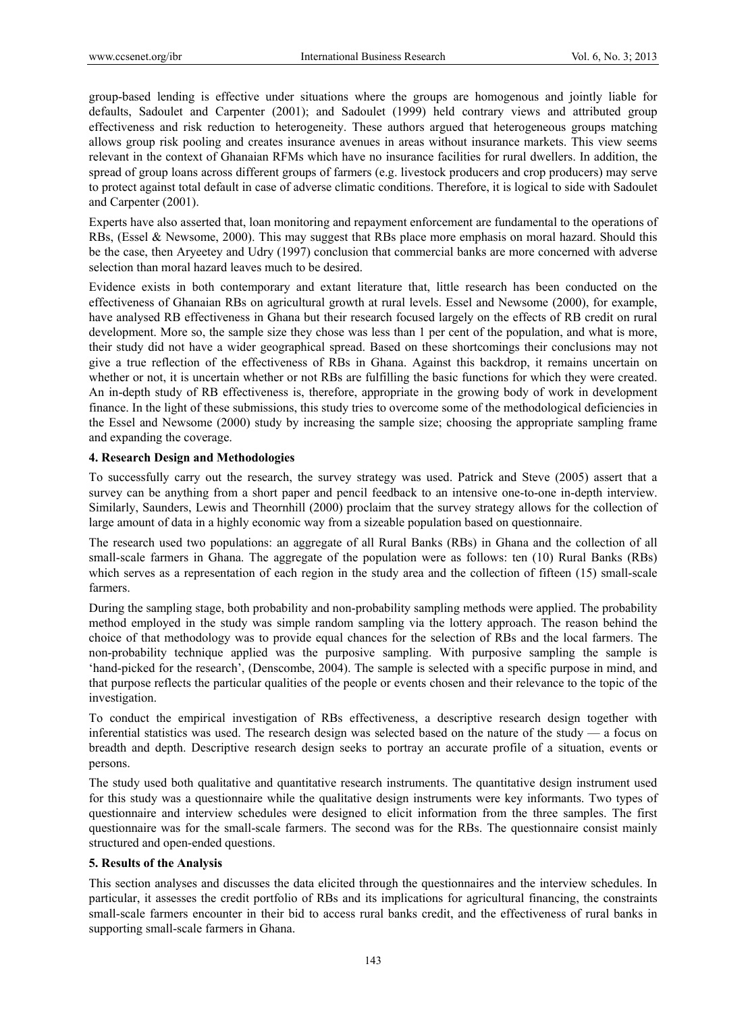group-based lending is effective under situations where the groups are homogenous and jointly liable for defaults, Sadoulet and Carpenter (2001); and Sadoulet (1999) held contrary views and attributed group effectiveness and risk reduction to heterogeneity. These authors argued that heterogeneous groups matching allows group risk pooling and creates insurance avenues in areas without insurance markets. This view seems relevant in the context of Ghanaian RFMs which have no insurance facilities for rural dwellers. In addition, the spread of group loans across different groups of farmers (e.g. livestock producers and crop producers) may serve to protect against total default in case of adverse climatic conditions. Therefore, it is logical to side with Sadoulet and Carpenter (2001).

Experts have also asserted that, loan monitoring and repayment enforcement are fundamental to the operations of RBs, (Essel & Newsome, 2000). This may suggest that RBs place more emphasis on moral hazard. Should this be the case, then Aryeetey and Udry (1997) conclusion that commercial banks are more concerned with adverse selection than moral hazard leaves much to be desired.

Evidence exists in both contemporary and extant literature that, little research has been conducted on the effectiveness of Ghanaian RBs on agricultural growth at rural levels. Essel and Newsome (2000), for example, have analysed RB effectiveness in Ghana but their research focused largely on the effects of RB credit on rural development. More so, the sample size they chose was less than 1 per cent of the population, and what is more, their study did not have a wider geographical spread. Based on these shortcomings their conclusions may not give a true reflection of the effectiveness of RBs in Ghana. Against this backdrop, it remains uncertain on whether or not, it is uncertain whether or not RBs are fulfilling the basic functions for which they were created. An in-depth study of RB effectiveness is, therefore, appropriate in the growing body of work in development finance. In the light of these submissions, this study tries to overcome some of the methodological deficiencies in the Essel and Newsome (2000) study by increasing the sample size; choosing the appropriate sampling frame and expanding the coverage.

## **4. Research Design and Methodologies**

To successfully carry out the research, the survey strategy was used. Patrick and Steve (2005) assert that a survey can be anything from a short paper and pencil feedback to an intensive one-to-one in-depth interview. Similarly, Saunders, Lewis and Theornhill (2000) proclaim that the survey strategy allows for the collection of large amount of data in a highly economic way from a sizeable population based on questionnaire.

The research used two populations: an aggregate of all Rural Banks (RBs) in Ghana and the collection of all small-scale farmers in Ghana. The aggregate of the population were as follows: ten (10) Rural Banks (RBs) which serves as a representation of each region in the study area and the collection of fifteen (15) small-scale farmers.

During the sampling stage, both probability and non-probability sampling methods were applied. The probability method employed in the study was simple random sampling via the lottery approach. The reason behind the choice of that methodology was to provide equal chances for the selection of RBs and the local farmers. The non-probability technique applied was the purposive sampling. With purposive sampling the sample is 'hand-picked for the research', (Denscombe, 2004). The sample is selected with a specific purpose in mind, and that purpose reflects the particular qualities of the people or events chosen and their relevance to the topic of the investigation.

To conduct the empirical investigation of RBs effectiveness, a descriptive research design together with inferential statistics was used. The research design was selected based on the nature of the study — a focus on breadth and depth. Descriptive research design seeks to portray an accurate profile of a situation, events or persons.

The study used both qualitative and quantitative research instruments. The quantitative design instrument used for this study was a questionnaire while the qualitative design instruments were key informants. Two types of questionnaire and interview schedules were designed to elicit information from the three samples. The first questionnaire was for the small-scale farmers. The second was for the RBs. The questionnaire consist mainly structured and open-ended questions.

## **5. Results of the Analysis**

This section analyses and discusses the data elicited through the questionnaires and the interview schedules. In particular, it assesses the credit portfolio of RBs and its implications for agricultural financing, the constraints small-scale farmers encounter in their bid to access rural banks credit, and the effectiveness of rural banks in supporting small-scale farmers in Ghana.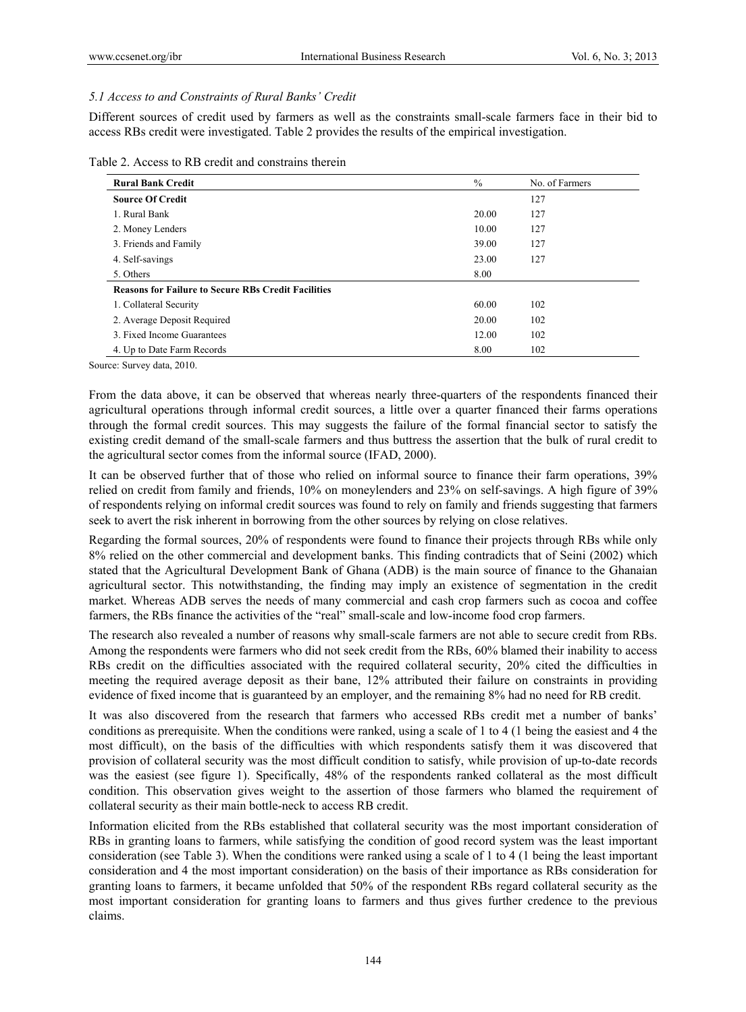# *5.1 Access to and Constraints of Rural Banks' Credit*

Different sources of credit used by farmers as well as the constraints small-scale farmers face in their bid to access RBs credit were investigated. Table 2 provides the results of the empirical investigation.

|  |  |  |  |  | Table 2. Access to RB credit and constrains therein |  |
|--|--|--|--|--|-----------------------------------------------------|--|
|--|--|--|--|--|-----------------------------------------------------|--|

| <b>Rural Bank Credit</b>                                   | $\%$  | No. of Farmers |
|------------------------------------------------------------|-------|----------------|
| <b>Source Of Credit</b>                                    |       | 127            |
| 1. Rural Bank                                              | 20.00 | 127            |
| 2. Money Lenders                                           | 10.00 | 127            |
| 3. Friends and Family                                      | 39.00 | 127            |
| 4. Self-savings                                            | 23.00 | 127            |
| 5. Others                                                  | 8.00  |                |
| <b>Reasons for Failure to Secure RBs Credit Facilities</b> |       |                |
| 1. Collateral Security                                     | 60.00 | 102            |
| 2. Average Deposit Required                                | 20.00 | 102            |
| 3. Fixed Income Guarantees                                 | 12.00 | 102            |
| 4. Up to Date Farm Records                                 | 8.00  | 102            |

Source: Survey data, 2010.

From the data above, it can be observed that whereas nearly three-quarters of the respondents financed their agricultural operations through informal credit sources, a little over a quarter financed their farms operations through the formal credit sources. This may suggests the failure of the formal financial sector to satisfy the existing credit demand of the small-scale farmers and thus buttress the assertion that the bulk of rural credit to the agricultural sector comes from the informal source (IFAD, 2000).

It can be observed further that of those who relied on informal source to finance their farm operations, 39% relied on credit from family and friends, 10% on moneylenders and 23% on self-savings. A high figure of 39% of respondents relying on informal credit sources was found to rely on family and friends suggesting that farmers seek to avert the risk inherent in borrowing from the other sources by relying on close relatives.

Regarding the formal sources, 20% of respondents were found to finance their projects through RBs while only 8% relied on the other commercial and development banks. This finding contradicts that of Seini (2002) which stated that the Agricultural Development Bank of Ghana (ADB) is the main source of finance to the Ghanaian agricultural sector. This notwithstanding, the finding may imply an existence of segmentation in the credit market. Whereas ADB serves the needs of many commercial and cash crop farmers such as cocoa and coffee farmers, the RBs finance the activities of the "real" small-scale and low-income food crop farmers.

The research also revealed a number of reasons why small-scale farmers are not able to secure credit from RBs. Among the respondents were farmers who did not seek credit from the RBs, 60% blamed their inability to access RBs credit on the difficulties associated with the required collateral security, 20% cited the difficulties in meeting the required average deposit as their bane, 12% attributed their failure on constraints in providing evidence of fixed income that is guaranteed by an employer, and the remaining 8% had no need for RB credit.

It was also discovered from the research that farmers who accessed RBs credit met a number of banks' conditions as prerequisite. When the conditions were ranked, using a scale of 1 to 4 (1 being the easiest and 4 the most difficult), on the basis of the difficulties with which respondents satisfy them it was discovered that provision of collateral security was the most difficult condition to satisfy, while provision of up-to-date records was the easiest (see figure 1). Specifically, 48% of the respondents ranked collateral as the most difficult condition. This observation gives weight to the assertion of those farmers who blamed the requirement of collateral security as their main bottle-neck to access RB credit.

Information elicited from the RBs established that collateral security was the most important consideration of RBs in granting loans to farmers, while satisfying the condition of good record system was the least important consideration (see Table 3). When the conditions were ranked using a scale of 1 to 4 (1 being the least important consideration and 4 the most important consideration) on the basis of their importance as RBs consideration for granting loans to farmers, it became unfolded that 50% of the respondent RBs regard collateral security as the most important consideration for granting loans to farmers and thus gives further credence to the previous claims.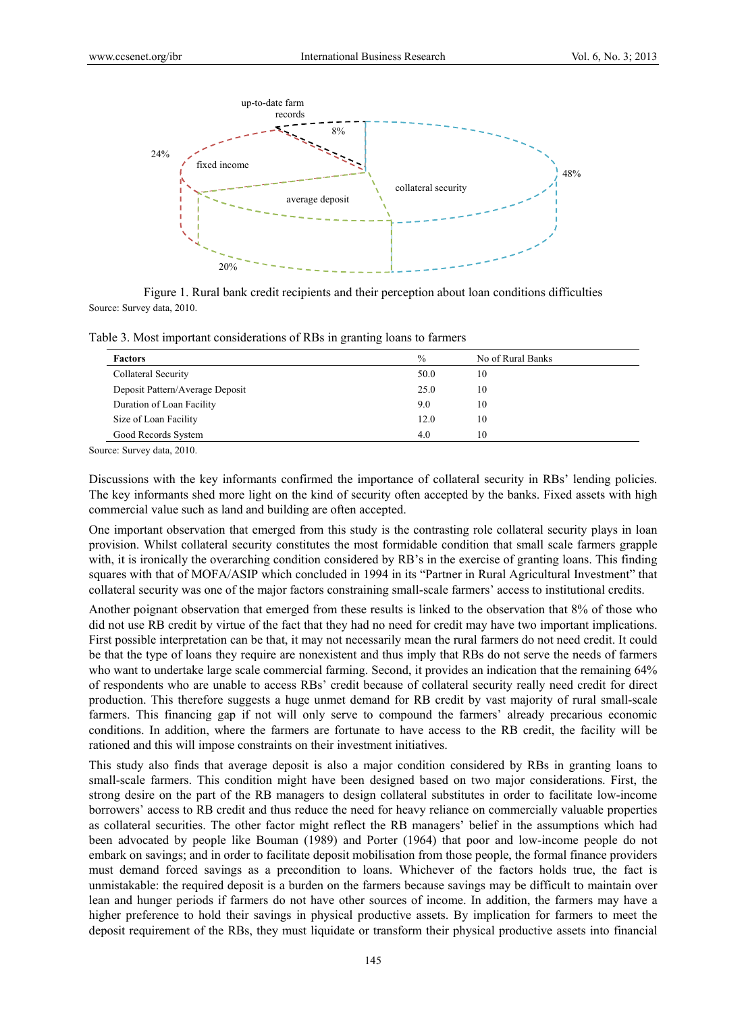

Figure 1. Rural bank credit recipients and their perception about loan conditions difficulties Source: Survey data, 2010.

|  |  | Table 3. Most important considerations of RBs in granting loans to farmers |
|--|--|----------------------------------------------------------------------------|
|  |  |                                                                            |

| <b>Factors</b>                  | $\%$ | No of Rural Banks |
|---------------------------------|------|-------------------|
| Collateral Security             | 50.0 | 10                |
| Deposit Pattern/Average Deposit | 25.0 | 10                |
| Duration of Loan Facility       | 9.0  | 10                |
| Size of Loan Facility           | 12.0 | 10                |
| Good Records System             | 4.0  | 10                |

Source: Survey data, 2010.

Discussions with the key informants confirmed the importance of collateral security in RBs' lending policies. The key informants shed more light on the kind of security often accepted by the banks. Fixed assets with high commercial value such as land and building are often accepted.

One important observation that emerged from this study is the contrasting role collateral security plays in loan provision. Whilst collateral security constitutes the most formidable condition that small scale farmers grapple with, it is ironically the overarching condition considered by RB's in the exercise of granting loans. This finding squares with that of MOFA/ASIP which concluded in 1994 in its "Partner in Rural Agricultural Investment" that collateral security was one of the major factors constraining small-scale farmers' access to institutional credits.

Another poignant observation that emerged from these results is linked to the observation that 8% of those who did not use RB credit by virtue of the fact that they had no need for credit may have two important implications. First possible interpretation can be that, it may not necessarily mean the rural farmers do not need credit. It could be that the type of loans they require are nonexistent and thus imply that RBs do not serve the needs of farmers who want to undertake large scale commercial farming. Second, it provides an indication that the remaining 64% of respondents who are unable to access RBs' credit because of collateral security really need credit for direct production. This therefore suggests a huge unmet demand for RB credit by vast majority of rural small-scale farmers. This financing gap if not will only serve to compound the farmers' already precarious economic conditions. In addition, where the farmers are fortunate to have access to the RB credit, the facility will be rationed and this will impose constraints on their investment initiatives.

This study also finds that average deposit is also a major condition considered by RBs in granting loans to small-scale farmers. This condition might have been designed based on two major considerations. First, the strong desire on the part of the RB managers to design collateral substitutes in order to facilitate low-income borrowers' access to RB credit and thus reduce the need for heavy reliance on commercially valuable properties as collateral securities. The other factor might reflect the RB managers' belief in the assumptions which had been advocated by people like Bouman (1989) and Porter (1964) that poor and low-income people do not embark on savings; and in order to facilitate deposit mobilisation from those people, the formal finance providers must demand forced savings as a precondition to loans. Whichever of the factors holds true, the fact is unmistakable: the required deposit is a burden on the farmers because savings may be difficult to maintain over lean and hunger periods if farmers do not have other sources of income. In addition, the farmers may have a higher preference to hold their savings in physical productive assets. By implication for farmers to meet the deposit requirement of the RBs, they must liquidate or transform their physical productive assets into financial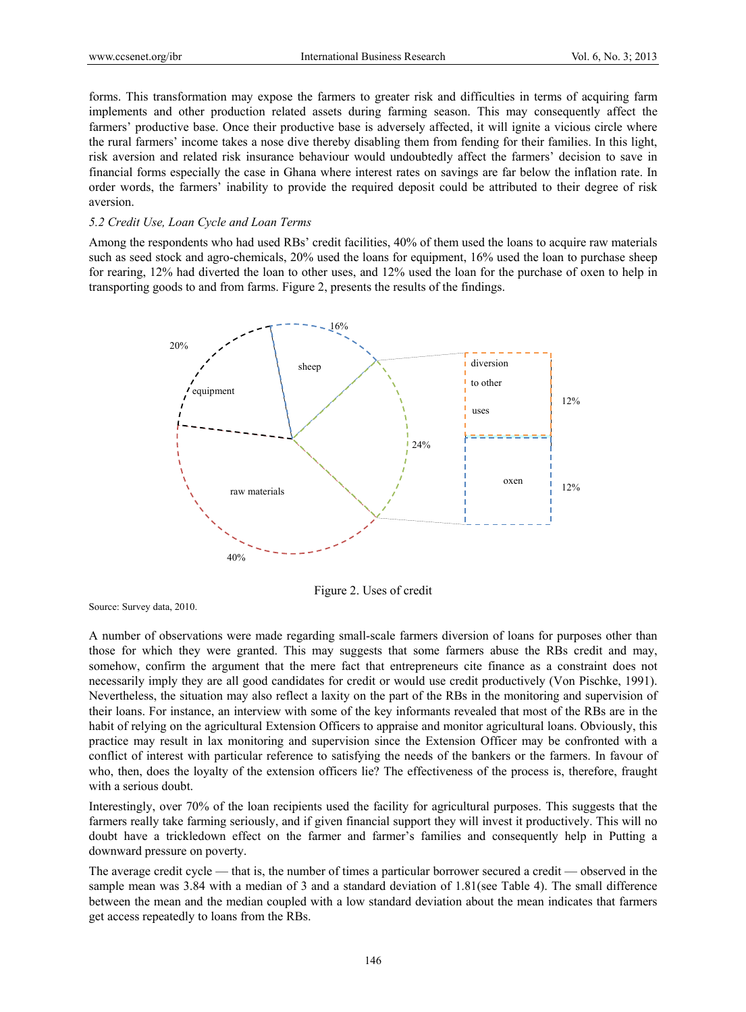forms. This transformation may expose the farmers to greater risk and difficulties in terms of acquiring farm implements and other production related assets during farming season. This may consequently affect the farmers' productive base. Once their productive base is adversely affected, it will ignite a vicious circle where the rural farmers' income takes a nose dive thereby disabling them from fending for their families. In this light, risk aversion and related risk insurance behaviour would undoubtedly affect the farmers' decision to save in financial forms especially the case in Ghana where interest rates on savings are far below the inflation rate. In order words, the farmers' inability to provide the required deposit could be attributed to their degree of risk aversion.

### *5.2 Credit Use, Loan Cycle and Loan Terms*

Among the respondents who had used RBs' credit facilities, 40% of them used the loans to acquire raw materials such as seed stock and agro-chemicals, 20% used the loans for equipment, 16% used the loan to purchase sheep for rearing, 12% had diverted the loan to other uses, and 12% used the loan for the purchase of oxen to help in transporting goods to and from farms. Figure 2, presents the results of the findings.



Figure 2. Uses of credit

Source: Survey data, 2010.

A number of observations were made regarding small-scale farmers diversion of loans for purposes other than those for which they were granted. This may suggests that some farmers abuse the RBs credit and may, somehow, confirm the argument that the mere fact that entrepreneurs cite finance as a constraint does not necessarily imply they are all good candidates for credit or would use credit productively (Von Pischke, 1991). Nevertheless, the situation may also reflect a laxity on the part of the RBs in the monitoring and supervision of their loans. For instance, an interview with some of the key informants revealed that most of the RBs are in the habit of relying on the agricultural Extension Officers to appraise and monitor agricultural loans. Obviously, this practice may result in lax monitoring and supervision since the Extension Officer may be confronted with a conflict of interest with particular reference to satisfying the needs of the bankers or the farmers. In favour of who, then, does the loyalty of the extension officers lie? The effectiveness of the process is, therefore, fraught with a serious doubt.

Interestingly, over 70% of the loan recipients used the facility for agricultural purposes. This suggests that the farmers really take farming seriously, and if given financial support they will invest it productively. This will no doubt have a trickledown effect on the farmer and farmer's families and consequently help in Putting a downward pressure on poverty.

The average credit cycle — that is, the number of times a particular borrower secured a credit — observed in the sample mean was 3.84 with a median of 3 and a standard deviation of 1.81(see Table 4). The small difference between the mean and the median coupled with a low standard deviation about the mean indicates that farmers get access repeatedly to loans from the RBs.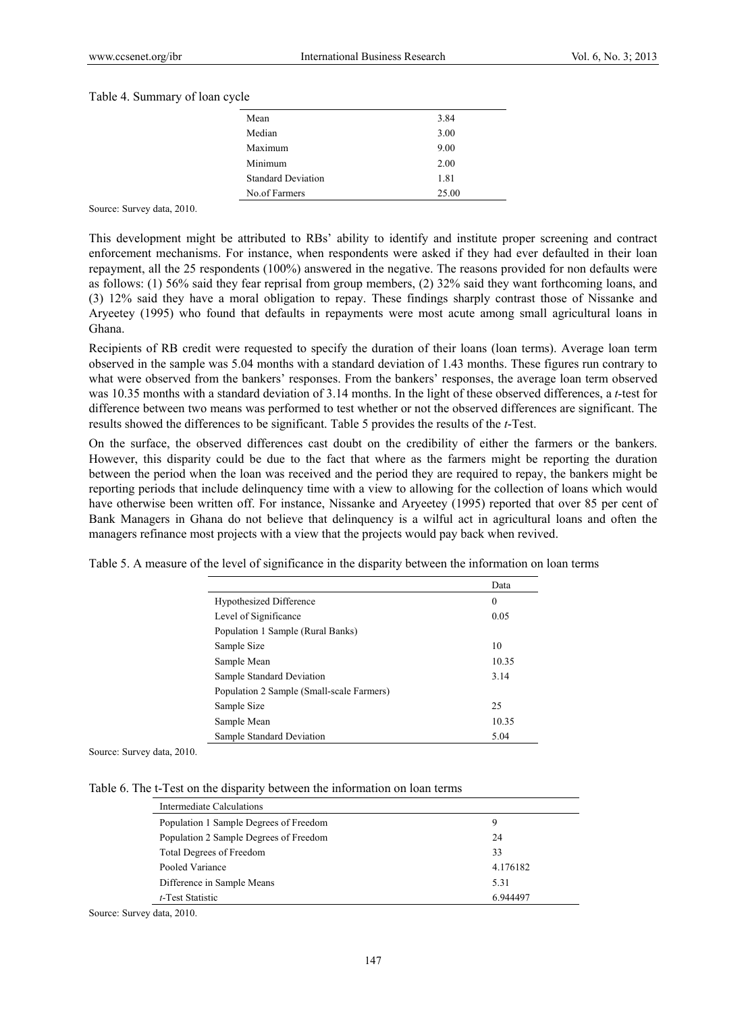#### Table 4. Summary of loan cycle

| Mean                      | 3.84  |
|---------------------------|-------|
| Median                    | 3.00  |
| Maximum                   | 9.00  |
| Minimum                   | 2.00  |
| <b>Standard Deviation</b> | 1.81  |
| No.of Farmers             | 25.00 |

Source: Survey data, 2010.

This development might be attributed to RBs' ability to identify and institute proper screening and contract enforcement mechanisms. For instance, when respondents were asked if they had ever defaulted in their loan repayment, all the 25 respondents (100%) answered in the negative. The reasons provided for non defaults were as follows: (1) 56% said they fear reprisal from group members, (2) 32% said they want forthcoming loans, and (3) 12% said they have a moral obligation to repay. These findings sharply contrast those of Nissanke and Aryeetey (1995) who found that defaults in repayments were most acute among small agricultural loans in Ghana.

Recipients of RB credit were requested to specify the duration of their loans (loan terms). Average loan term observed in the sample was 5.04 months with a standard deviation of 1.43 months. These figures run contrary to what were observed from the bankers' responses. From the bankers' responses, the average loan term observed was 10.35 months with a standard deviation of 3.14 months. In the light of these observed differences, a *t*-test for difference between two means was performed to test whether or not the observed differences are significant. The results showed the differences to be significant. Table 5 provides the results of the *t*-Test.

On the surface, the observed differences cast doubt on the credibility of either the farmers or the bankers. However, this disparity could be due to the fact that where as the farmers might be reporting the duration between the period when the loan was received and the period they are required to repay, the bankers might be reporting periods that include delinquency time with a view to allowing for the collection of loans which would have otherwise been written off. For instance, Nissanke and Aryeetey (1995) reported that over 85 per cent of Bank Managers in Ghana do not believe that delinquency is a wilful act in agricultural loans and often the managers refinance most projects with a view that the projects would pay back when revived.

|                                           | Data     |
|-------------------------------------------|----------|
| <b>Hypothesized Difference</b>            | $\theta$ |
| Level of Significance                     | 0.05     |
| Population 1 Sample (Rural Banks)         |          |
| Sample Size                               | 10       |
| Sample Mean                               | 10.35    |
| Sample Standard Deviation                 | 3.14     |
| Population 2 Sample (Small-scale Farmers) |          |
| Sample Size                               | 25       |
| Sample Mean                               | 10.35    |
| Sample Standard Deviation                 | 5.04     |

Table 5. A measure of the level of significance in the disparity between the information on loan terms

Source: Survey data, 2010.

Table 6. The t-Test on the disparity between the information on loan terms

| Intermediate Calculations              |          |
|----------------------------------------|----------|
| Population 1 Sample Degrees of Freedom | Q        |
| Population 2 Sample Degrees of Freedom | 24       |
| Total Degrees of Freedom               | 33       |
| Pooled Variance                        | 4.176182 |
| Difference in Sample Means             | 5.31     |
| t-Test Statistic                       | 6.944497 |

Source: Survey data, 2010.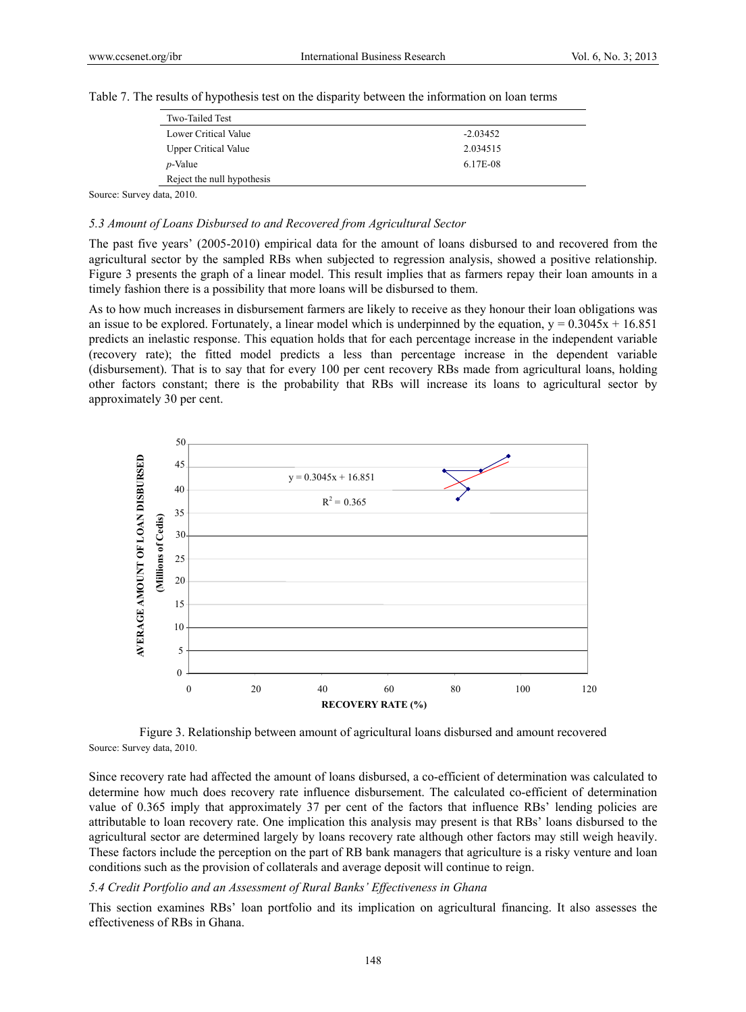| Lower Critical Value        | $-2.03452$ |
|-----------------------------|------------|
| <b>Upper Critical Value</b> | 2.034515   |
| $p$ -Value                  | 6.17E-08   |

Table 7. The results of hypothesis test on the disparity between the information on loan terms

Source: Survey data, 2010.

#### *5.3 Amount of Loans Disbursed to and Recovered from Agricultural Sector*

The past five years' (2005-2010) empirical data for the amount of loans disbursed to and recovered from the agricultural sector by the sampled RBs when subjected to regression analysis, showed a positive relationship. Figure 3 presents the graph of a linear model. This result implies that as farmers repay their loan amounts in a timely fashion there is a possibility that more loans will be disbursed to them.

As to how much increases in disbursement farmers are likely to receive as they honour their loan obligations was an issue to be explored. Fortunately, a linear model which is underpinned by the equation,  $y = 0.3045x + 16.851$ predicts an inelastic response. This equation holds that for each percentage increase in the independent variable (recovery rate); the fitted model predicts a less than percentage increase in the dependent variable (disbursement). That is to say that for every 100 per cent recovery RBs made from agricultural loans, holding other factors constant; there is the probability that RBs will increase its loans to agricultural sector by approximately 30 per cent.



Figure 3. Relationship between amount of agricultural loans disbursed and amount recovered Source: Survey data, 2010.

Since recovery rate had affected the amount of loans disbursed, a co-efficient of determination was calculated to determine how much does recovery rate influence disbursement. The calculated co-efficient of determination value of 0.365 imply that approximately 37 per cent of the factors that influence RBs' lending policies are attributable to loan recovery rate. One implication this analysis may present is that RBs' loans disbursed to the agricultural sector are determined largely by loans recovery rate although other factors may still weigh heavily. These factors include the perception on the part of RB bank managers that agriculture is a risky venture and loan conditions such as the provision of collaterals and average deposit will continue to reign.

## *5.4 Credit Portfolio and an Assessment of Rural Banks' Effectiveness in Ghana*

This section examines RBs' loan portfolio and its implication on agricultural financing. It also assesses the effectiveness of RBs in Ghana.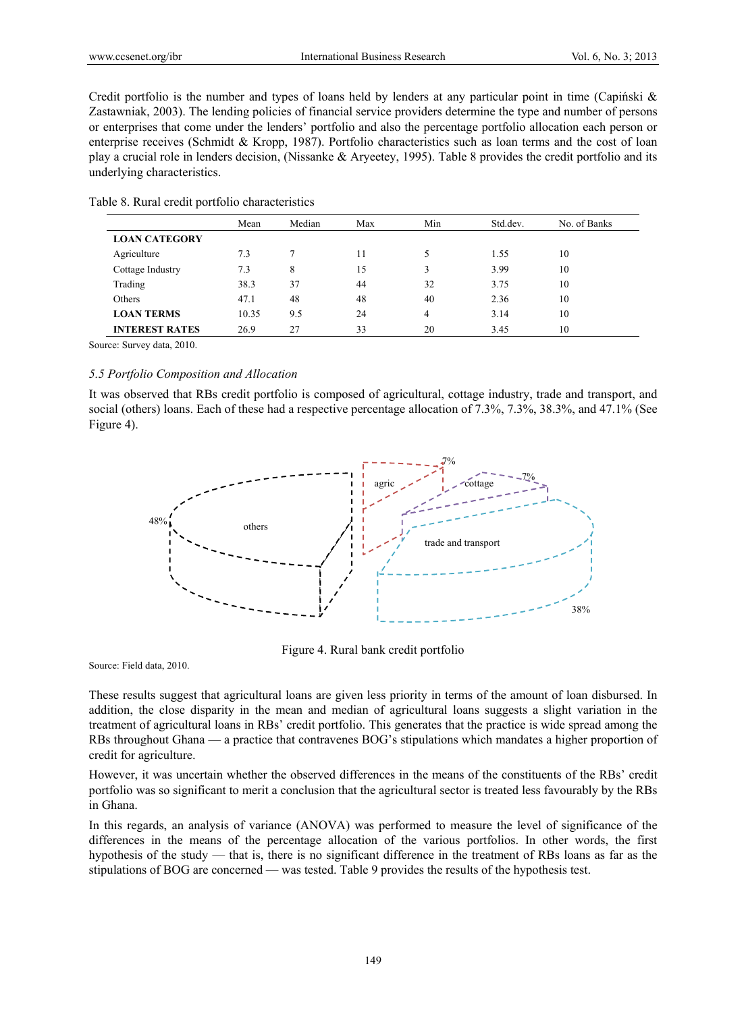Credit portfolio is the number and types of loans held by lenders at any particular point in time (Capiński  $\&$ Zastawniak, 2003). The lending policies of financial service providers determine the type and number of persons or enterprises that come under the lenders' portfolio and also the percentage portfolio allocation each person or enterprise receives (Schmidt & Kropp, 1987). Portfolio characteristics such as loan terms and the cost of loan play a crucial role in lenders decision, (Nissanke & Aryeetey, 1995). Table 8 provides the credit portfolio and its underlying characteristics.

|  | Table 8. Rural credit portfolio characteristics |
|--|-------------------------------------------------|
|--|-------------------------------------------------|

|                       | Mean  | Median | Max | Min | Std.dev. | No. of Banks |
|-----------------------|-------|--------|-----|-----|----------|--------------|
| <b>LOAN CATEGORY</b>  |       |        |     |     |          |              |
| Agriculture           | 7.3   |        | 11  |     | 1.55     | 10           |
| Cottage Industry      | 7.3   | 8      | 15  |     | 3.99     | 10           |
| Trading               | 38.3  | 37     | 44  | 32  | 3.75     | 10           |
| Others                | 47.1  | 48     | 48  | 40  | 2.36     | 10           |
| <b>LOAN TERMS</b>     | 10.35 | 9.5    | 24  | 4   | 3.14     | 10           |
| <b>INTEREST RATES</b> | 26.9  | 27     | 33  | 20  | 3.45     | 10           |

Source: Survey data, 2010.

## *5.5 Portfolio Composition and Allocation*

It was observed that RBs credit portfolio is composed of agricultural, cottage industry, trade and transport, and social (others) loans. Each of these had a respective percentage allocation of 7.3%, 7.3%, 38.3%, and 47.1% (See Figure 4).



Figure 4. Rural bank credit portfolio

Source: Field data, 2010.

These results suggest that agricultural loans are given less priority in terms of the amount of loan disbursed. In addition, the close disparity in the mean and median of agricultural loans suggests a slight variation in the treatment of agricultural loans in RBs' credit portfolio. This generates that the practice is wide spread among the RBs throughout Ghana — a practice that contravenes BOG's stipulations which mandates a higher proportion of credit for agriculture.

However, it was uncertain whether the observed differences in the means of the constituents of the RBs' credit portfolio was so significant to merit a conclusion that the agricultural sector is treated less favourably by the RBs in Ghana.

In this regards, an analysis of variance (ANOVA) was performed to measure the level of significance of the differences in the means of the percentage allocation of the various portfolios. In other words, the first hypothesis of the study — that is, there is no significant difference in the treatment of RBs loans as far as the stipulations of BOG are concerned — was tested. Table 9 provides the results of the hypothesis test.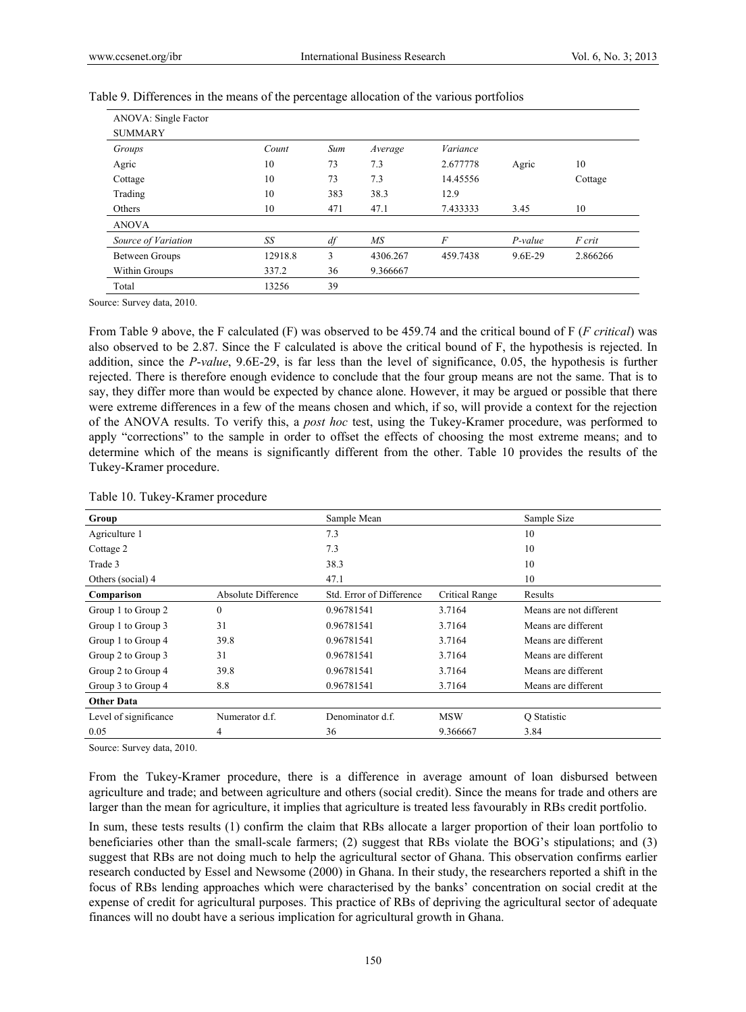| ANOVA: Single Factor<br><b>SUMMARY</b> |         |     |          |          |           |          |
|----------------------------------------|---------|-----|----------|----------|-----------|----------|
| Groups                                 | Count   | Sum | Average  | Variance |           |          |
| Agric                                  | 10      | 73  | 7.3      | 2.677778 | Agric     | 10       |
| Cottage                                | 10      | 73  | 7.3      | 14.45556 |           | Cottage  |
| Trading                                | 10      | 383 | 38.3     | 12.9     |           |          |
| Others                                 | 10      | 471 | 47.1     | 7.433333 | 3.45      | 10       |
| <b>ANOVA</b>                           |         |     |          |          |           |          |
| Source of Variation                    | SS      | df  | MS       | F        | $P-value$ | F crit   |
| Between Groups                         | 12918.8 | 3   | 4306.267 | 459.7438 | 9.6E-29   | 2.866266 |
| Within Groups                          | 337.2   | 36  | 9.366667 |          |           |          |
| Total                                  | 13256   | 39  |          |          |           |          |

| Table 9. Differences in the means of the percentage allocation of the various portfolios |  |  |  |  |
|------------------------------------------------------------------------------------------|--|--|--|--|
|                                                                                          |  |  |  |  |

Source: Survey data, 2010.

From Table 9 above, the F calculated (F) was observed to be 459.74 and the critical bound of F (*F critical*) was also observed to be 2.87. Since the F calculated is above the critical bound of F, the hypothesis is rejected. In addition, since the *P*-*value*, 9.6E-29, is far less than the level of significance, 0.05, the hypothesis is further rejected. There is therefore enough evidence to conclude that the four group means are not the same. That is to say, they differ more than would be expected by chance alone. However, it may be argued or possible that there were extreme differences in a few of the means chosen and which, if so, will provide a context for the rejection of the ANOVA results. To verify this, a *post hoc* test, using the Tukey-Kramer procedure, was performed to apply "corrections" to the sample in order to offset the effects of choosing the most extreme means; and to determine which of the means is significantly different from the other. Table 10 provides the results of the Tukey-Kramer procedure.

| Group                 |                     | Sample Mean              |                | Sample Size             |
|-----------------------|---------------------|--------------------------|----------------|-------------------------|
| Agriculture 1         |                     | 7.3                      |                | 10                      |
| Cottage 2             |                     | 7.3                      |                | 10                      |
| Trade 3               |                     | 38.3                     |                | 10                      |
| Others (social) 4     |                     | 47.1                     |                | 10                      |
| Comparison            | Absolute Difference | Std. Error of Difference | Critical Range | Results                 |
| Group 1 to Group 2    | $\Omega$            | 0.96781541               | 3.7164         | Means are not different |
| Group 1 to Group 3    | 31                  | 0.96781541               | 3.7164         | Means are different     |
| Group 1 to Group 4    | 39.8                | 0.96781541               | 3.7164         | Means are different     |
| Group 2 to Group 3    | 31                  | 0.96781541               | 3.7164         | Means are different     |
| Group 2 to Group 4    | 39.8                | 0.96781541               | 3.7164         | Means are different     |
| Group 3 to Group 4    | 8.8                 | 0.96781541               | 3.7164         | Means are different     |
| <b>Other Data</b>     |                     |                          |                |                         |
| Level of significance | Numerator d.f.      | Denominator d.f.         | <b>MSW</b>     | O Statistic             |
| 0.05                  | 4                   | 36                       | 9.366667       | 3.84                    |

## Table 10. Tukey-Kramer procedure

Source: Survey data, 2010.

From the Tukey-Kramer procedure, there is a difference in average amount of loan disbursed between agriculture and trade; and between agriculture and others (social credit). Since the means for trade and others are larger than the mean for agriculture, it implies that agriculture is treated less favourably in RBs credit portfolio.

In sum, these tests results (1) confirm the claim that RBs allocate a larger proportion of their loan portfolio to beneficiaries other than the small-scale farmers; (2) suggest that RBs violate the BOG's stipulations; and (3) suggest that RBs are not doing much to help the agricultural sector of Ghana. This observation confirms earlier research conducted by Essel and Newsome (2000) in Ghana. In their study, the researchers reported a shift in the focus of RBs lending approaches which were characterised by the banks' concentration on social credit at the expense of credit for agricultural purposes. This practice of RBs of depriving the agricultural sector of adequate finances will no doubt have a serious implication for agricultural growth in Ghana.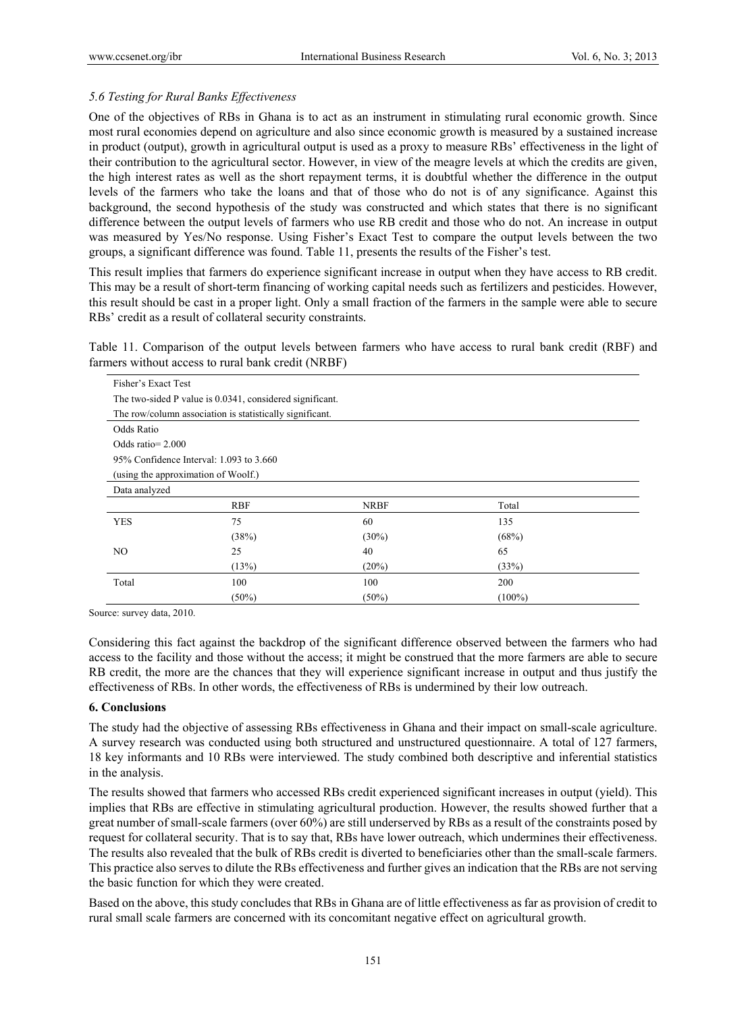# *5.6 Testing for Rural Banks Effectiveness*

One of the objectives of RBs in Ghana is to act as an instrument in stimulating rural economic growth. Since most rural economies depend on agriculture and also since economic growth is measured by a sustained increase in product (output), growth in agricultural output is used as a proxy to measure RBs' effectiveness in the light of their contribution to the agricultural sector. However, in view of the meagre levels at which the credits are given, the high interest rates as well as the short repayment terms, it is doubtful whether the difference in the output levels of the farmers who take the loans and that of those who do not is of any significance. Against this background, the second hypothesis of the study was constructed and which states that there is no significant difference between the output levels of farmers who use RB credit and those who do not. An increase in output was measured by Yes/No response. Using Fisher's Exact Test to compare the output levels between the two groups, a significant difference was found. Table 11, presents the results of the Fisher's test.

This result implies that farmers do experience significant increase in output when they have access to RB credit. This may be a result of short-term financing of working capital needs such as fertilizers and pesticides. However, this result should be cast in a proper light. Only a small fraction of the farmers in the sample were able to secure RBs' credit as a result of collateral security constraints.

Table 11. Comparison of the output levels between farmers who have access to rural bank credit (RBF) and farmers without access to rural bank credit (NRBF)

| Fisher's Exact Test  |                                                          |             |           |  |
|----------------------|----------------------------------------------------------|-------------|-----------|--|
|                      | The two-sided P value is 0.0341, considered significant. |             |           |  |
|                      | The row/column association is statistically significant. |             |           |  |
| Odds Ratio           |                                                          |             |           |  |
| Odds ratio $= 2.000$ |                                                          |             |           |  |
|                      | 95% Confidence Interval: $1.093$ to $3.660$              |             |           |  |
|                      | (using the approximation of Woolf.)                      |             |           |  |
| Data analyzed        |                                                          |             |           |  |
|                      | <b>RBF</b>                                               | <b>NRBF</b> | Total     |  |
| <b>YES</b>           | 75                                                       | 60          | 135       |  |
|                      | (38%)                                                    | $(30\%)$    | (68%)     |  |
| NO.                  | 25                                                       | 40          | 65        |  |
|                      | (13%)                                                    | (20%)       | (33%)     |  |
| Total                | 100                                                      | 100         | 200       |  |
|                      | $(50\%)$                                                 | (50%)       | $(100\%)$ |  |

Source: survey data, 2010.

Considering this fact against the backdrop of the significant difference observed between the farmers who had access to the facility and those without the access; it might be construed that the more farmers are able to secure RB credit, the more are the chances that they will experience significant increase in output and thus justify the effectiveness of RBs. In other words, the effectiveness of RBs is undermined by their low outreach.

## **6. Conclusions**

The study had the objective of assessing RBs effectiveness in Ghana and their impact on small-scale agriculture. A survey research was conducted using both structured and unstructured questionnaire. A total of 127 farmers, 18 key informants and 10 RBs were interviewed. The study combined both descriptive and inferential statistics in the analysis.

The results showed that farmers who accessed RBs credit experienced significant increases in output (yield). This implies that RBs are effective in stimulating agricultural production. However, the results showed further that a great number of small-scale farmers (over 60%) are still underserved by RBs as a result of the constraints posed by request for collateral security. That is to say that, RBs have lower outreach, which undermines their effectiveness. The results also revealed that the bulk of RBs credit is diverted to beneficiaries other than the small-scale farmers. This practice also serves to dilute the RBs effectiveness and further gives an indication that the RBs are not serving the basic function for which they were created.

Based on the above, this study concludes that RBs in Ghana are of little effectiveness as far as provision of credit to rural small scale farmers are concerned with its concomitant negative effect on agricultural growth.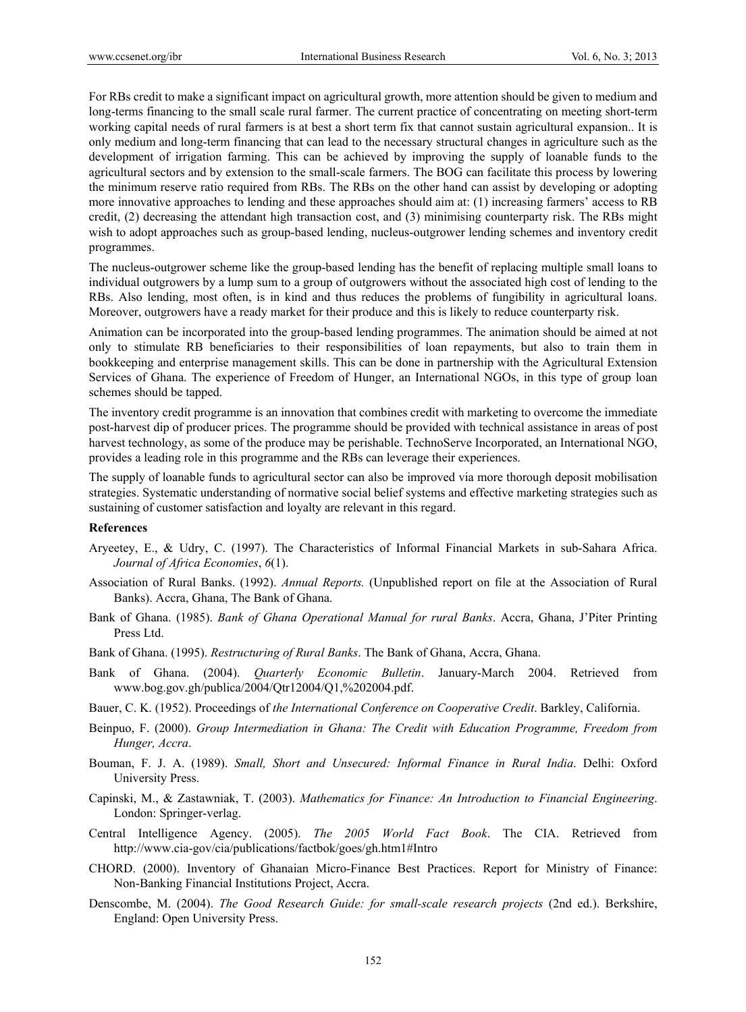For RBs credit to make a significant impact on agricultural growth, more attention should be given to medium and long-terms financing to the small scale rural farmer. The current practice of concentrating on meeting short-term working capital needs of rural farmers is at best a short term fix that cannot sustain agricultural expansion.. It is only medium and long-term financing that can lead to the necessary structural changes in agriculture such as the development of irrigation farming. This can be achieved by improving the supply of loanable funds to the agricultural sectors and by extension to the small-scale farmers. The BOG can facilitate this process by lowering the minimum reserve ratio required from RBs. The RBs on the other hand can assist by developing or adopting more innovative approaches to lending and these approaches should aim at: (1) increasing farmers' access to RB credit, (2) decreasing the attendant high transaction cost, and (3) minimising counterparty risk. The RBs might wish to adopt approaches such as group-based lending, nucleus-outgrower lending schemes and inventory credit programmes.

The nucleus-outgrower scheme like the group-based lending has the benefit of replacing multiple small loans to individual outgrowers by a lump sum to a group of outgrowers without the associated high cost of lending to the RBs. Also lending, most often, is in kind and thus reduces the problems of fungibility in agricultural loans. Moreover, outgrowers have a ready market for their produce and this is likely to reduce counterparty risk.

Animation can be incorporated into the group-based lending programmes. The animation should be aimed at not only to stimulate RB beneficiaries to their responsibilities of loan repayments, but also to train them in bookkeeping and enterprise management skills. This can be done in partnership with the Agricultural Extension Services of Ghana. The experience of Freedom of Hunger, an International NGOs, in this type of group loan schemes should be tapped.

The inventory credit programme is an innovation that combines credit with marketing to overcome the immediate post-harvest dip of producer prices. The programme should be provided with technical assistance in areas of post harvest technology, as some of the produce may be perishable. TechnoServe Incorporated, an International NGO, provides a leading role in this programme and the RBs can leverage their experiences.

The supply of loanable funds to agricultural sector can also be improved via more thorough deposit mobilisation strategies. Systematic understanding of normative social belief systems and effective marketing strategies such as sustaining of customer satisfaction and loyalty are relevant in this regard.

## **References**

- Aryeetey, E., & Udry, C. (1997). The Characteristics of Informal Financial Markets in sub-Sahara Africa. *Journal of Africa Economies*, *6*(1).
- Association of Rural Banks. (1992). *Annual Reports.* (Unpublished report on file at the Association of Rural Banks). Accra, Ghana, The Bank of Ghana.
- Bank of Ghana. (1985). *Bank of Ghana Operational Manual for rural Banks*. Accra, Ghana, J'Piter Printing Press Ltd.
- Bank of Ghana. (1995). *Restructuring of Rural Banks*. The Bank of Ghana, Accra, Ghana.
- Bank of Ghana. (2004). *Quarterly Economic Bulletin*. January-March 2004. Retrieved from www.bog.gov.gh/publica/2004/Qtr12004/Q1,%202004.pdf.
- Bauer, C. K. (1952). Proceedings of *the International Conference on Cooperative Credit*. Barkley, California.
- Beinpuo, F. (2000). *Group Intermediation in Ghana: The Credit with Education Programme, Freedom from Hunger, Accra*.
- Bouman, F. J. A. (1989). *Small, Short and Unsecured: Informal Finance in Rural India*. Delhi: Oxford University Press.
- Capinski, M., & Zastawniak, T. (2003). *Mathematics for Finance: An Introduction to Financial Engineering*. London: Springer-verlag.
- Central Intelligence Agency. (2005). *The 2005 World Fact Book*. The CIA. Retrieved from http://www.cia-gov/cia/publications/factbok/goes/gh.htm1#Intro
- CHORD. (2000). Inventory of Ghanaian Micro-Finance Best Practices. Report for Ministry of Finance: Non-Banking Financial Institutions Project, Accra.
- Denscombe, M. (2004). *The Good Research Guide: for small-scale research projects* (2nd ed.). Berkshire, England: Open University Press.